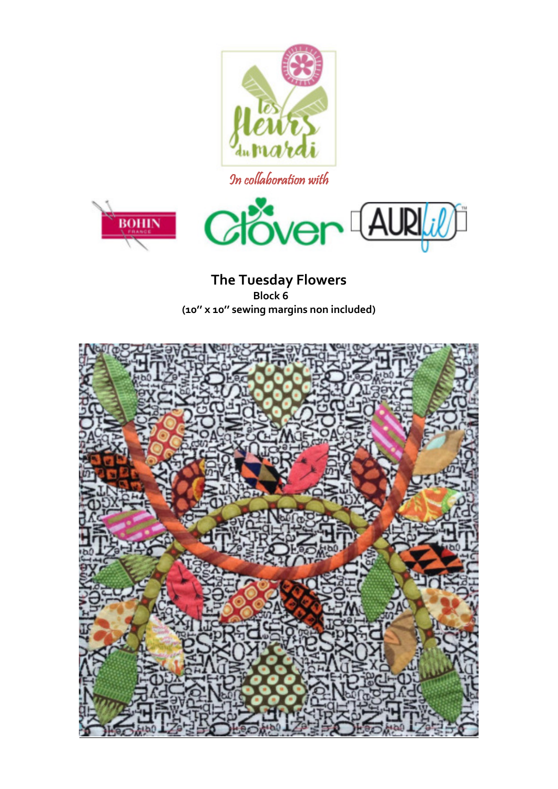

In collaboration with



**The Tuesday Flowers Block 6 (10'' x 10'' sewing margins non included)** 

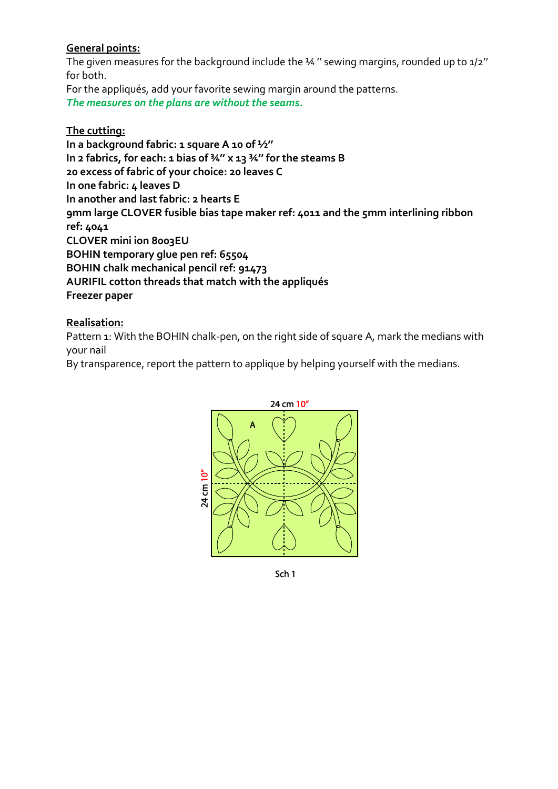## **General points:**

The given measures for the background include the 14" sewing margins, rounded up to 1/2" for both.

For the appliqués, add your favorite sewing margin around the patterns. *The measures on the plans are without the seams.* 

## **The cutting:**

**In a background fabric: 1 square A 10 of ½'' In 2 fabrics, for each: 1 bias of ¾'' x 13 ¾'' for the steams B 20 excess of fabric of your choice: 20 leaves C In one fabric: 4 leaves D In another and last fabric: 2 hearts E 9mm large CLOVER fusible bias tape maker ref: 4011 and the 5mm interlining ribbon ref: 4041 CLOVER mini ion 8003EU BOHIN temporary glue pen ref: 65504 BOHIN chalk mechanical pencil ref: 91473 AURIFIL cotton threads that match with the appliqués Freezer paper** 

## **Realisation:**

Pattern 1: With the BOHIN chalk-pen, on the right side of square A, mark the medians with your nail

By transparence, report the pattern to applique by helping yourself with the medians.



Sch 1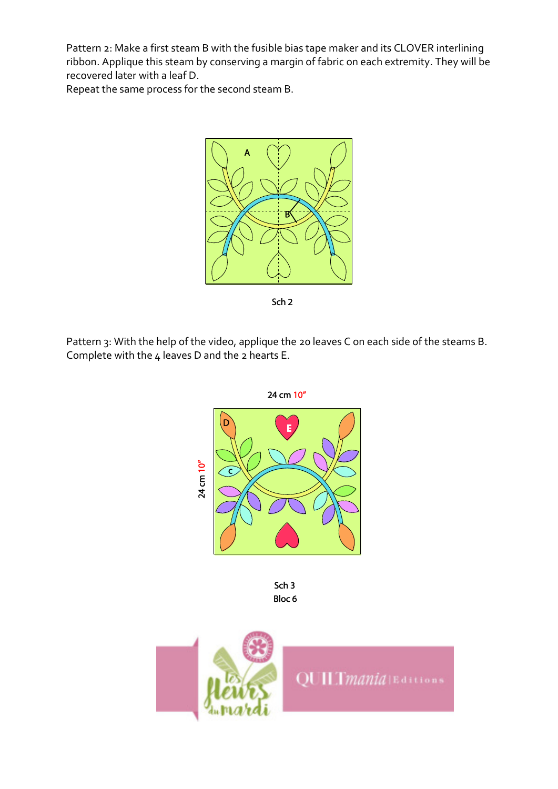Pattern 2: Make a first steam B with the fusible bias tape maker and its CLOVER interlining ribbon. Applique this steam by conserving a margin of fabric on each extremity. They will be recovered later with a leaf D.

Repeat the same process for the second steam B.



Sch<sub>2</sub>

Pattern 3: With the help of the video, applique the 20 leaves C on each side of the steams B. Complete with the 4 leaves D and the 2 hearts E.